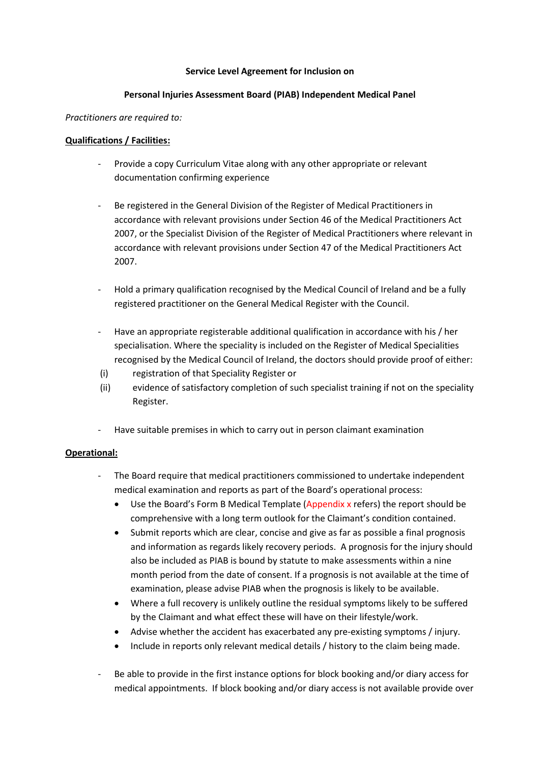### **Service Level Agreement for Inclusion on**

## **Personal Injuries Assessment Board (PIAB) Independent Medical Panel**

### *Practitioners are required to:*

## **Qualifications / Facilities:**

- Provide a copy Curriculum Vitae along with any other appropriate or relevant documentation confirming experience
- Be registered in the General Division of the Register of Medical Practitioners in accordance with relevant provisions under Section 46 of the Medical Practitioners Act 2007, or the Specialist Division of the Register of Medical Practitioners where relevant in accordance with relevant provisions under Section 47 of the Medical Practitioners Act 2007.
- Hold a primary qualification recognised by the Medical Council of Ireland and be a fully registered practitioner on the General Medical Register with the Council.
- Have an appropriate registerable additional qualification in accordance with his / her specialisation. Where the speciality is included on the Register of Medical Specialities recognised by the Medical Council of Ireland, the doctors should provide proof of either:
- (i) registration of that Speciality Register or
- (ii) evidence of satisfactory completion of such specialist training if not on the speciality Register.
- Have suitable premises in which to carry out in person claimant examination

# **Operational:**

- The Board require that medical practitioners commissioned to undertake independent medical examination and reports as part of the Board's operational process:
	- Use the Board's Form B Medical Template (Appendix x refers) the report should be comprehensive with a long term outlook for the Claimant's condition contained.
	- Submit reports which are clear, concise and give as far as possible a final prognosis and information as regards likely recovery periods. A prognosis for the injury should also be included as PIAB is bound by statute to make assessments within a nine month period from the date of consent. If a prognosis is not available at the time of examination, please advise PIAB when the prognosis is likely to be available.
	- Where a full recovery is unlikely outline the residual symptoms likely to be suffered by the Claimant and what effect these will have on their lifestyle/work.
	- Advise whether the accident has exacerbated any pre-existing symptoms / injury.
	- Include in reports only relevant medical details / history to the claim being made.
- Be able to provide in the first instance options for block booking and/or diary access for medical appointments. If block booking and/or diary access is not available provide over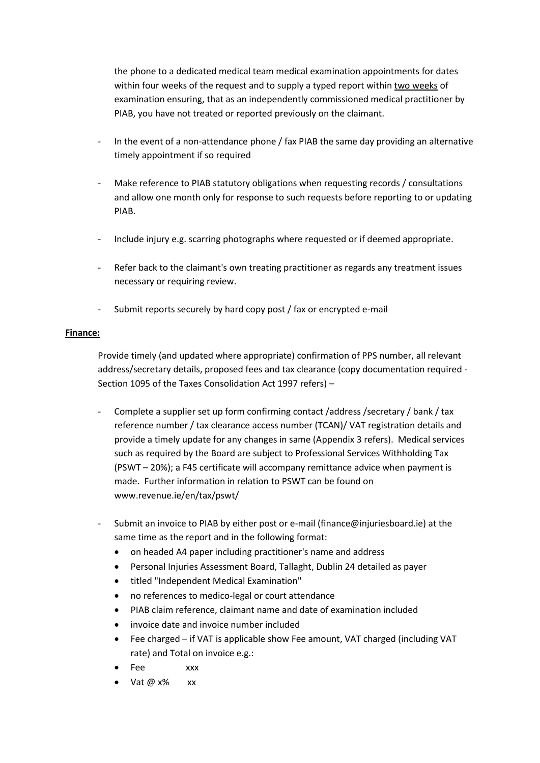the phone to a dedicated medical team medical examination appointments for dates within four weeks of the request and to supply a typed report within two weeks of examination ensuring, that as an independently commissioned medical practitioner by PIAB, you have not treated or reported previously on the claimant.

- In the event of a non-attendance phone / fax PIAB the same day providing an alternative timely appointment if so required
- Make reference to PIAB statutory obligations when requesting records / consultations and allow one month only for response to such requests before reporting to or updating PIAB.
- Include injury e.g. scarring photographs where requested or if deemed appropriate.
- Refer back to the claimant's own treating practitioner as regards any treatment issues necessary or requiring review.
- Submit reports securely by hard copy post / fax or encrypted e-mail

# **Finance:**

Provide timely (and updated where appropriate) confirmation of PPS number, all relevant address/secretary details, proposed fees and tax clearance (copy documentation required - Section 1095 of the Taxes Consolidation Act 1997 refers) –

- Complete a supplier set up form confirming contact /address /secretary / bank / tax reference number / tax clearance access number (TCAN)/ VAT registration details and provide a timely update for any changes in same (Appendix 3 refers). Medical services such as required by the Board are subject to Professional Services Withholding Tax (PSWT – 20%); a F45 certificate will accompany remittance advice when payment is made. Further information in relation to PSWT can be found on www.revenue.ie/en/tax/pswt/
- Submit an invoice to PIAB by either post or e-mail (finance@injuriesboard.ie) at the same time as the report and in the following format:
	- on headed A4 paper including practitioner's name and address
	- Personal Injuries Assessment Board, Tallaght, Dublin 24 detailed as payer
	- titled "Independent Medical Examination"
	- no references to medico-legal or court attendance
	- PIAB claim reference, claimant name and date of examination included
	- invoice date and invoice number included
	- Fee charged if VAT is applicable show Fee amount, VAT charged (including VAT rate) and Total on invoice e.g.:
	- Fee xxx
	- Vat @ x% xx